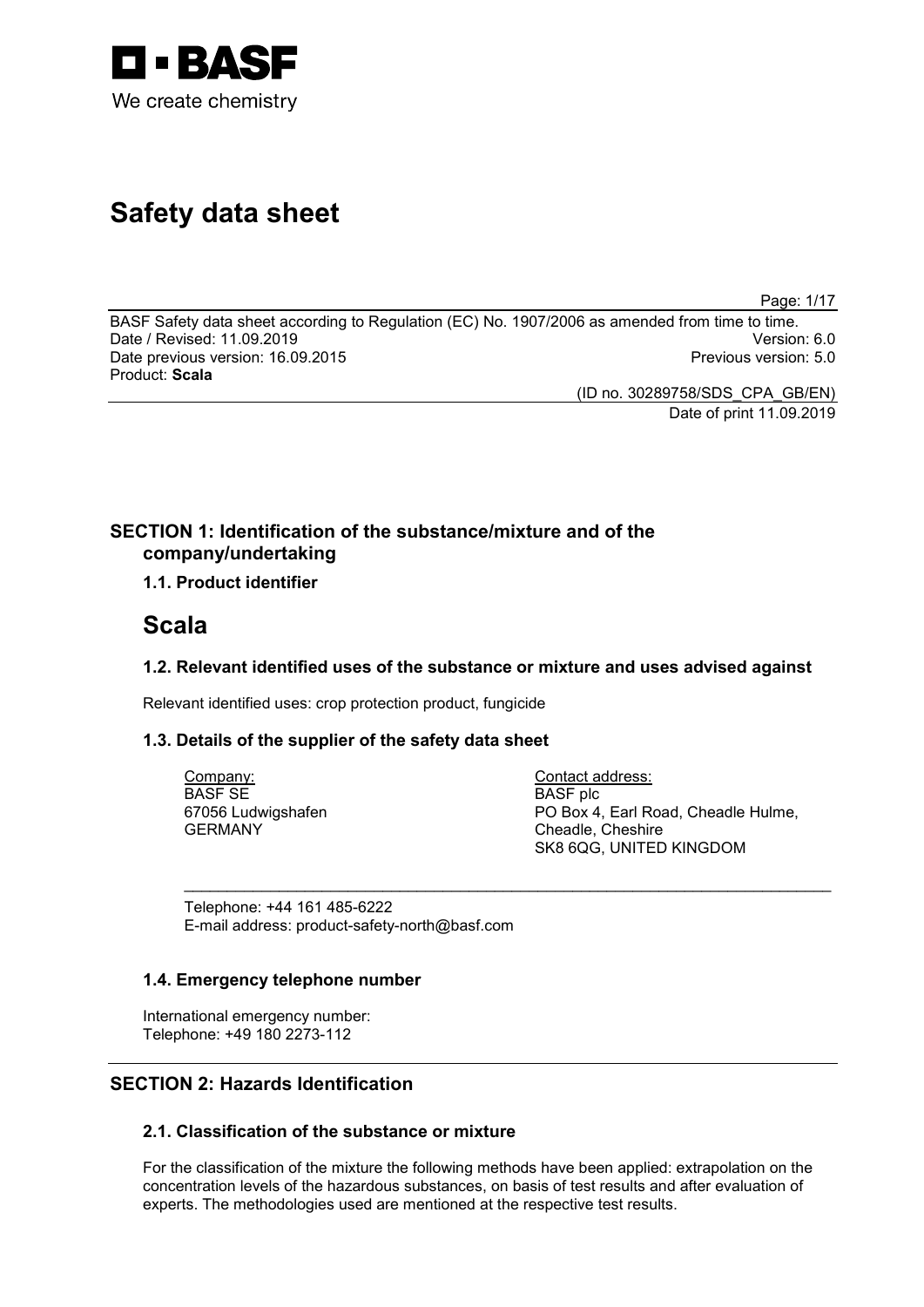

# **Safety data sheet**

Page: 1/17

BASF Safety data sheet according to Regulation (EC) No. 1907/2006 as amended from time to time. Date / Revised: 11.09.2019 Version: 6.0 Date previous version: 16.09.2015 Product: **Scala**

(ID no. 30289758/SDS\_CPA\_GB/EN)

Date of print 11.09.2019

# **SECTION 1: Identification of the substance/mixture and of the company/undertaking**

# **1.1. Product identifier**

# **Scala**

# **1.2. Relevant identified uses of the substance or mixture and uses advised against**

\_\_\_\_\_\_\_\_\_\_\_\_\_\_\_\_\_\_\_\_\_\_\_\_\_\_\_\_\_\_\_\_\_\_\_\_\_\_\_\_\_\_\_\_\_\_\_\_\_\_\_\_\_\_\_\_\_\_\_\_\_\_\_\_\_\_\_\_\_\_\_\_\_\_\_

Relevant identified uses: crop protection product, fungicide

# **1.3. Details of the supplier of the safety data sheet**

Company: BASF SE 67056 Ludwigshafen GERMANY

Contact address: BASF plc PO Box 4, Earl Road, Cheadle Hulme, Cheadle, Cheshire SK8 6QG, UNITED KINGDOM

Telephone: +44 161 485-6222 E-mail address: product-safety-north@basf.com

# **1.4. Emergency telephone number**

International emergency number: Telephone: +49 180 2273-112

# **SECTION 2: Hazards Identification**

# **2.1. Classification of the substance or mixture**

For the classification of the mixture the following methods have been applied: extrapolation on the concentration levels of the hazardous substances, on basis of test results and after evaluation of experts. The methodologies used are mentioned at the respective test results.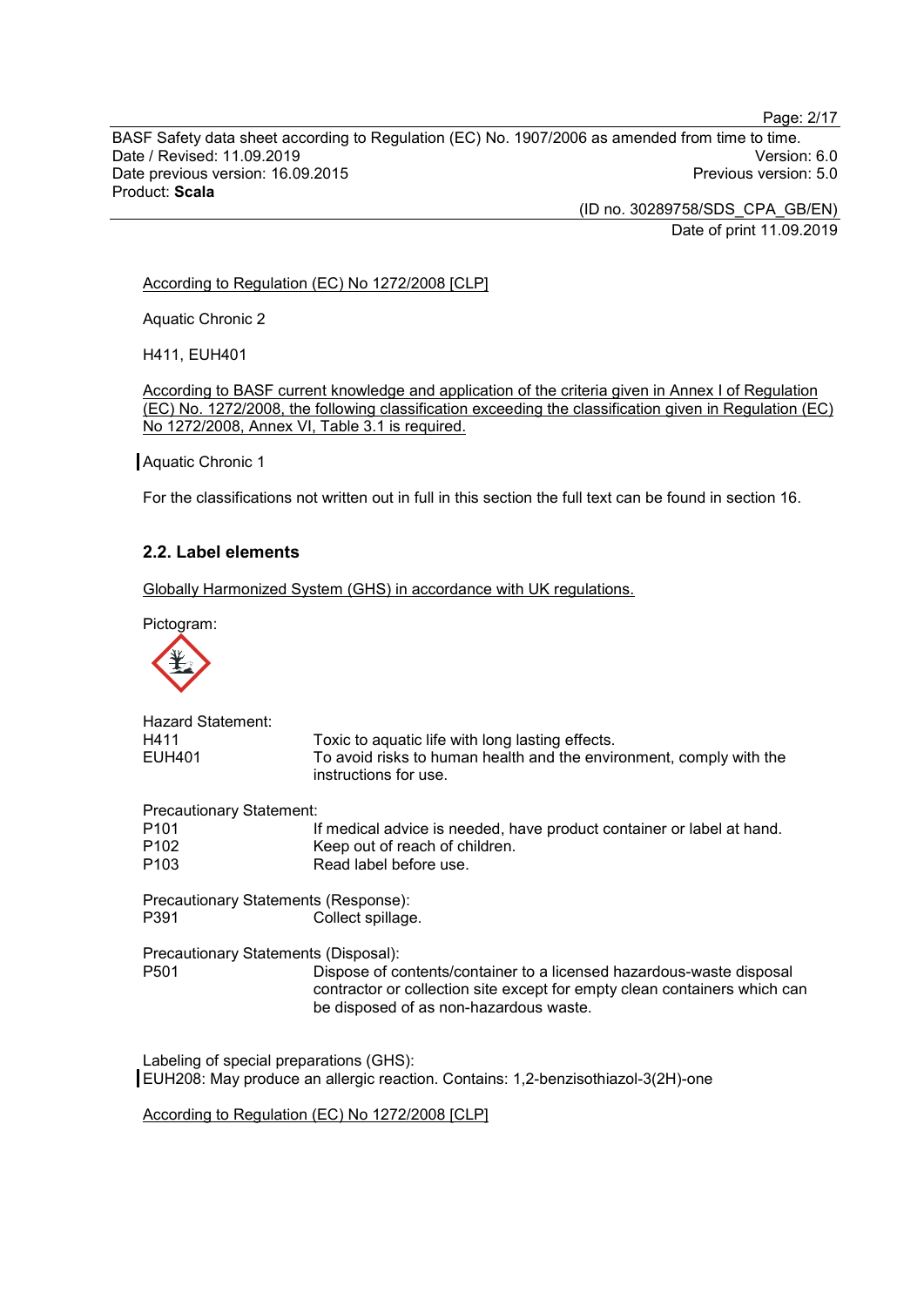Page: 2/17

BASF Safety data sheet according to Regulation (EC) No. 1907/2006 as amended from time to time. Date / Revised: 11.09.2019<br>Date previous version: 16.09.2015 Version: 5.0 Date previous version: 16.09.2015 Product: **Scala**

> (ID no. 30289758/SDS\_CPA\_GB/EN) Date of print 11.09.2019

#### According to Regulation (EC) No 1272/2008 [CLP]

Aquatic Chronic 2

H411, EUH401

According to BASF current knowledge and application of the criteria given in Annex I of Regulation (EC) No. 1272/2008, the following classification exceeding the classification given in Regulation (EC) No 1272/2008, Annex VI, Table 3.1 is required.

#### Aquatic Chronic 1

For the classifications not written out in full in this section the full text can be found in section 16.

# **2.2. Label elements**

Globally Harmonized System (GHS) in accordance with UK regulations.

Pictogram:



| <b>Hazard Statement:</b>                |                                                                                                                                                                                             |
|-----------------------------------------|---------------------------------------------------------------------------------------------------------------------------------------------------------------------------------------------|
| H411<br><b>EUH401</b>                   | Toxic to aquatic life with long lasting effects.<br>To avoid risks to human health and the environment, comply with the                                                                     |
|                                         | instructions for use.                                                                                                                                                                       |
| <b>Precautionary Statement:</b>         |                                                                                                                                                                                             |
| P <sub>101</sub>                        | If medical advice is needed, have product container or label at hand.                                                                                                                       |
| P <sub>102</sub>                        | Keep out of reach of children.                                                                                                                                                              |
| P <sub>103</sub>                        | Read label before use.                                                                                                                                                                      |
| Precautionary Statements (Response):    |                                                                                                                                                                                             |
| P391                                    | Collect spillage.                                                                                                                                                                           |
| Precautionary Statements (Disposal):    |                                                                                                                                                                                             |
| P <sub>501</sub>                        | Dispose of contents/container to a licensed hazardous-waste disposal<br>contractor or collection site except for empty clean containers which can<br>be disposed of as non-hazardous waste. |
| Labeling of special preparations (GHS): |                                                                                                                                                                                             |
|                                         |                                                                                                                                                                                             |

EUH208: May produce an allergic reaction. Contains: 1,2-benzisothiazol-3(2H)-one

According to Regulation (EC) No 1272/2008 [CLP]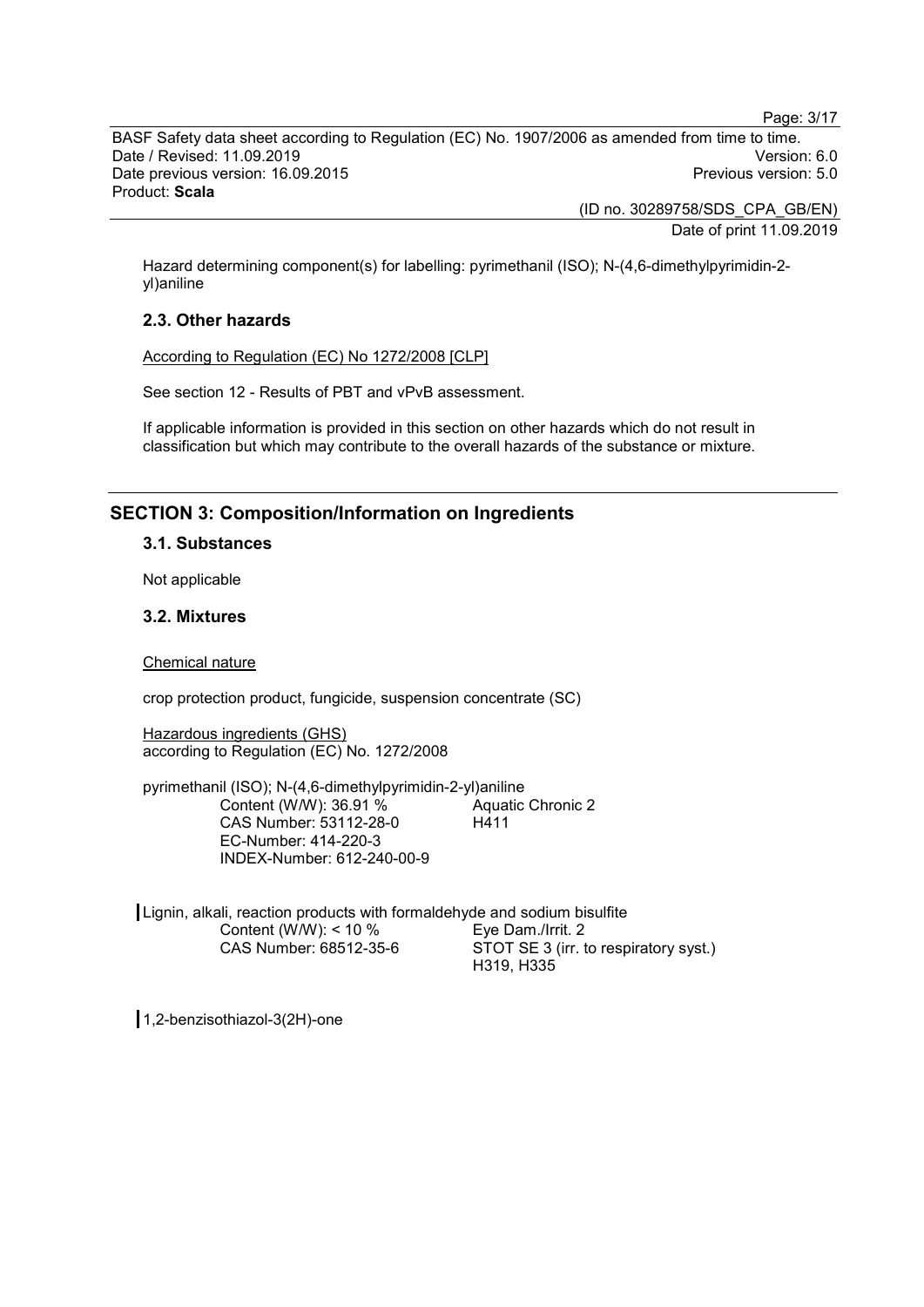Page: 3/17

BASF Safety data sheet according to Regulation (EC) No. 1907/2006 as amended from time to time. Date / Revised: 11.09.2019 Version: 6.0 Date previous version: 16.09.2015 Product: **Scala**

> (ID no. 30289758/SDS\_CPA\_GB/EN) Date of print 11.09.2019

Hazard determining component(s) for labelling: pyrimethanil (ISO); N-(4,6-dimethylpyrimidin-2 yl)aniline

# **2.3. Other hazards**

According to Regulation (EC) No 1272/2008 [CLP]

See section 12 - Results of PBT and vPvB assessment.

If applicable information is provided in this section on other hazards which do not result in classification but which may contribute to the overall hazards of the substance or mixture.

# **SECTION 3: Composition/Information on Ingredients**

### **3.1. Substances**

Not applicable

# **3.2. Mixtures**

Chemical nature

crop protection product, fungicide, suspension concentrate (SC)

Hazardous ingredients (GHS) according to Regulation (EC) No. 1272/2008

pyrimethanil (ISO); N-(4,6-dimethylpyrimidin-2-yl)aniline Content (W/W): 36.91 % CAS Number: 53112-28-0 EC-Number: 414-220-3 INDEX-Number: 612-240-00-9 Aquatic Chronic 2 H411

Lignin, alkali, reaction products with formaldehyde and sodium bisulfite Content (W/W): < 10 % CAS Number: 68512-35-6 Eye Dam./Irrit. 2 STOT SE 3 (irr. to respiratory syst.) H319, H335

1,2-benzisothiazol-3(2H)-one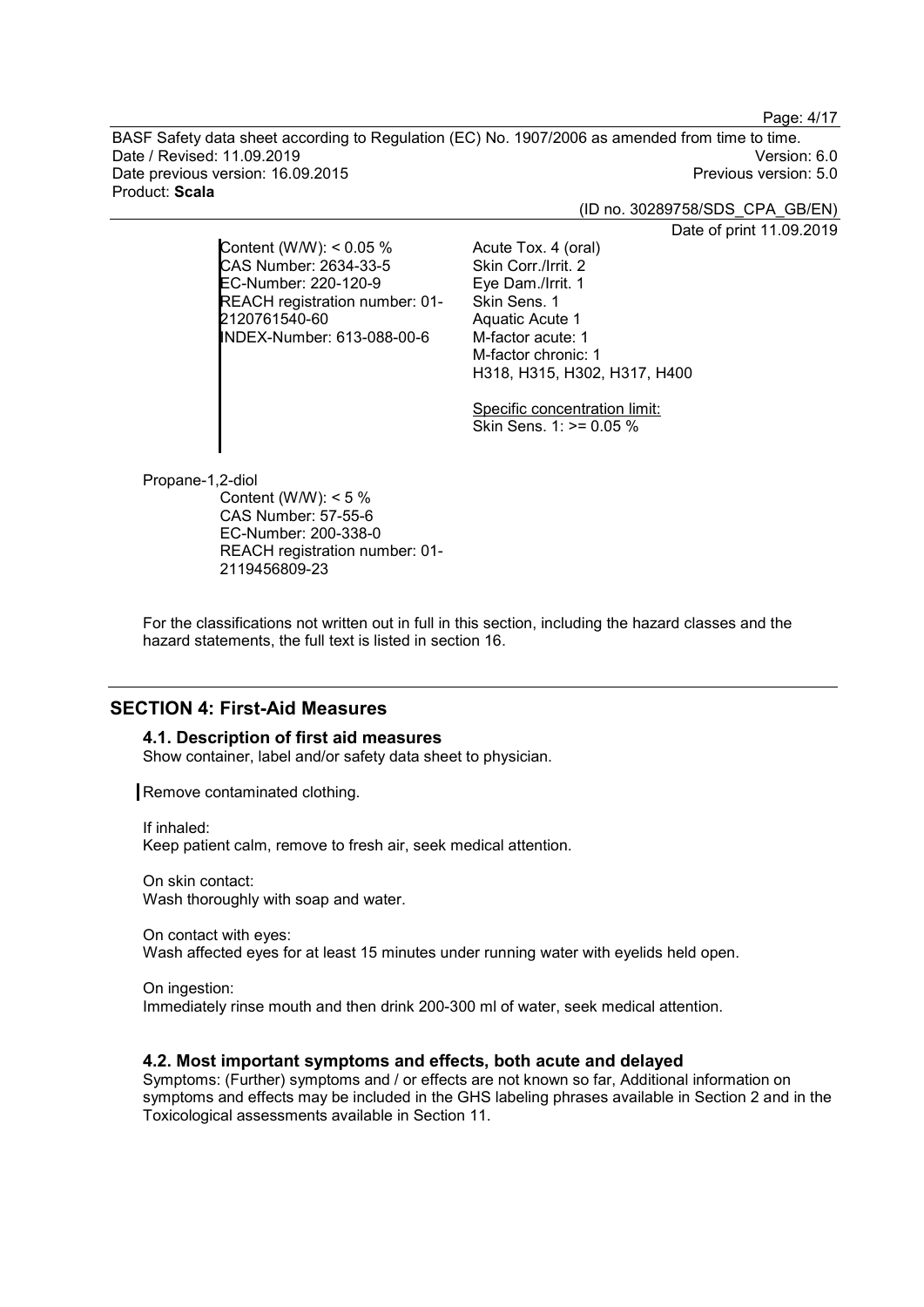Page: 4/17

BASF Safety data sheet according to Regulation (EC) No. 1907/2006 as amended from time to time. Date / Revised: 11.09.2019 Version: 6.0 Date previous version: 16.09.2015 Product: **Scala**

(ID no. 30289758/SDS\_CPA\_GB/EN)

Date of print 11.09.2019

Content (W/W): < 0.05 % CAS Number: 2634-33-5 EC-Number: 220-120-9 REACH registration number: 01- 2120761540-60 INDEX-Number: 613-088-00-6

Eye Dam./Irrit. 1 Skin Sens. 1 Aquatic Acute 1 M-factor acute: 1 M-factor chronic: 1 H318, H315, H302, H317, H400

Acute Tox. 4 (oral) Skin Corr./Irrit. 2

Specific concentration limit: Skin Sens. 1: >= 0.05 %

Propane-1,2-diol

Content (W/W): < 5 % CAS Number: 57-55-6 EC-Number: 200-338-0 REACH registration number: 01- 2119456809-23

For the classifications not written out in full in this section, including the hazard classes and the hazard statements, the full text is listed in section 16.

# **SECTION 4: First-Aid Measures**

#### **4.1. Description of first aid measures**

Show container, label and/or safety data sheet to physician.

Remove contaminated clothing.

If inhaled: Keep patient calm, remove to fresh air, seek medical attention.

On skin contact: Wash thoroughly with soap and water.

On contact with eyes: Wash affected eyes for at least 15 minutes under running water with eyelids held open.

On ingestion: Immediately rinse mouth and then drink 200-300 ml of water, seek medical attention.

# **4.2. Most important symptoms and effects, both acute and delayed**

Symptoms: (Further) symptoms and / or effects are not known so far, Additional information on symptoms and effects may be included in the GHS labeling phrases available in Section 2 and in the Toxicological assessments available in Section 11.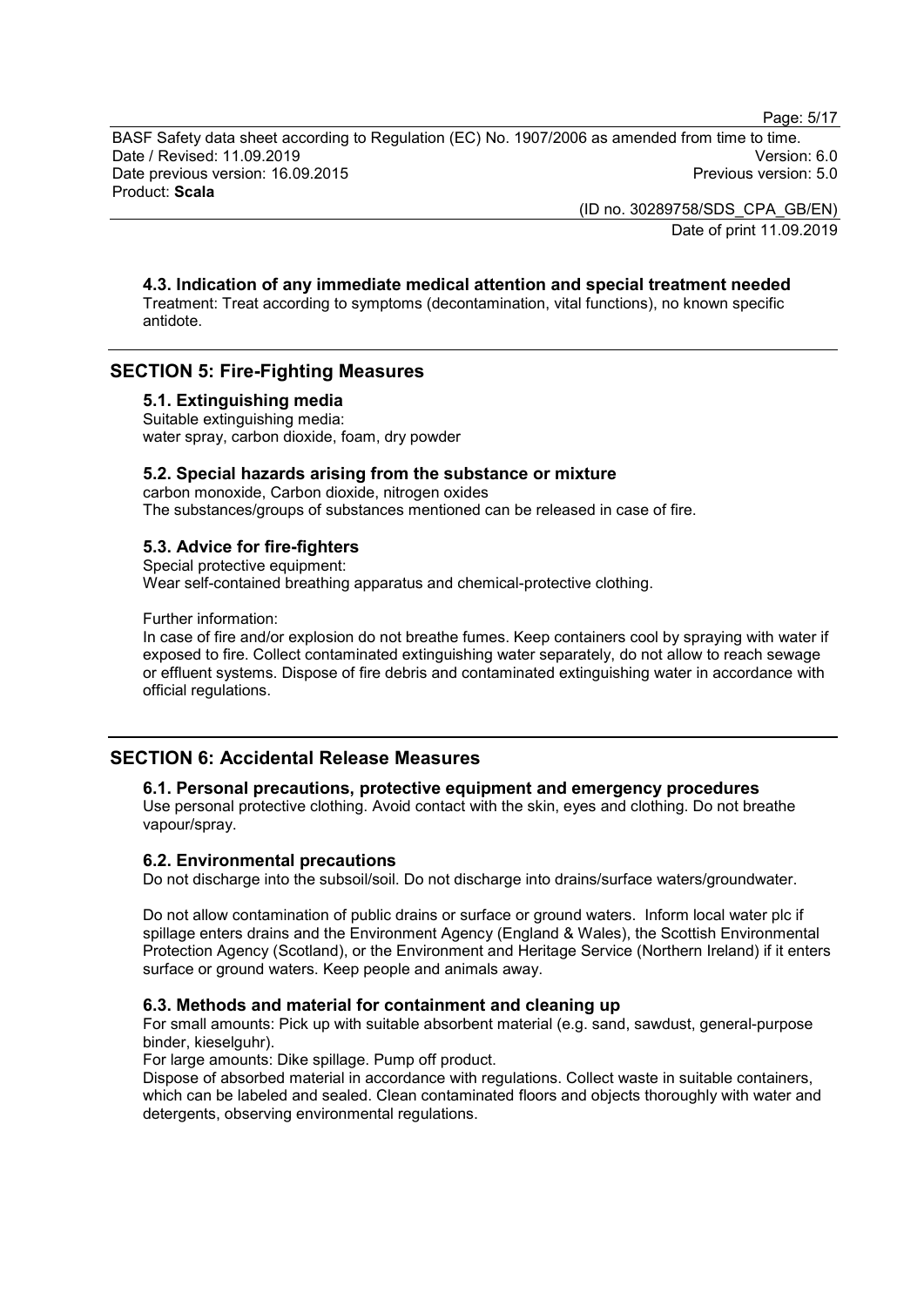Page: 5/17

BASF Safety data sheet according to Regulation (EC) No. 1907/2006 as amended from time to time. Date / Revised: 11.09.2019 Version: 6.0 Date previous version: 16.09.2015 Product: **Scala**

> (ID no. 30289758/SDS\_CPA\_GB/EN) Date of print 11.09.2019

# **4.3. Indication of any immediate medical attention and special treatment needed**

Treatment: Treat according to symptoms (decontamination, vital functions), no known specific antidote.

# **SECTION 5: Fire-Fighting Measures**

#### **5.1. Extinguishing media**

Suitable extinguishing media: water spray, carbon dioxide, foam, dry powder

### **5.2. Special hazards arising from the substance or mixture**

carbon monoxide, Carbon dioxide, nitrogen oxides The substances/groups of substances mentioned can be released in case of fire.

### **5.3. Advice for fire-fighters**

Special protective equipment:

Wear self-contained breathing apparatus and chemical-protective clothing.

Further information:

In case of fire and/or explosion do not breathe fumes. Keep containers cool by spraying with water if exposed to fire. Collect contaminated extinguishing water separately, do not allow to reach sewage or effluent systems. Dispose of fire debris and contaminated extinguishing water in accordance with official regulations.

# **SECTION 6: Accidental Release Measures**

# **6.1. Personal precautions, protective equipment and emergency procedures**

Use personal protective clothing. Avoid contact with the skin, eyes and clothing. Do not breathe vapour/spray.

# **6.2. Environmental precautions**

Do not discharge into the subsoil/soil. Do not discharge into drains/surface waters/groundwater.

Do not allow contamination of public drains or surface or ground waters. Inform local water plc if spillage enters drains and the Environment Agency (England & Wales), the Scottish Environmental Protection Agency (Scotland), or the Environment and Heritage Service (Northern Ireland) if it enters surface or ground waters. Keep people and animals away.

#### **6.3. Methods and material for containment and cleaning up**

For small amounts: Pick up with suitable absorbent material (e.g. sand, sawdust, general-purpose binder, kieselguhr).

For large amounts: Dike spillage. Pump off product.

Dispose of absorbed material in accordance with regulations. Collect waste in suitable containers, which can be labeled and sealed. Clean contaminated floors and objects thoroughly with water and detergents, observing environmental regulations.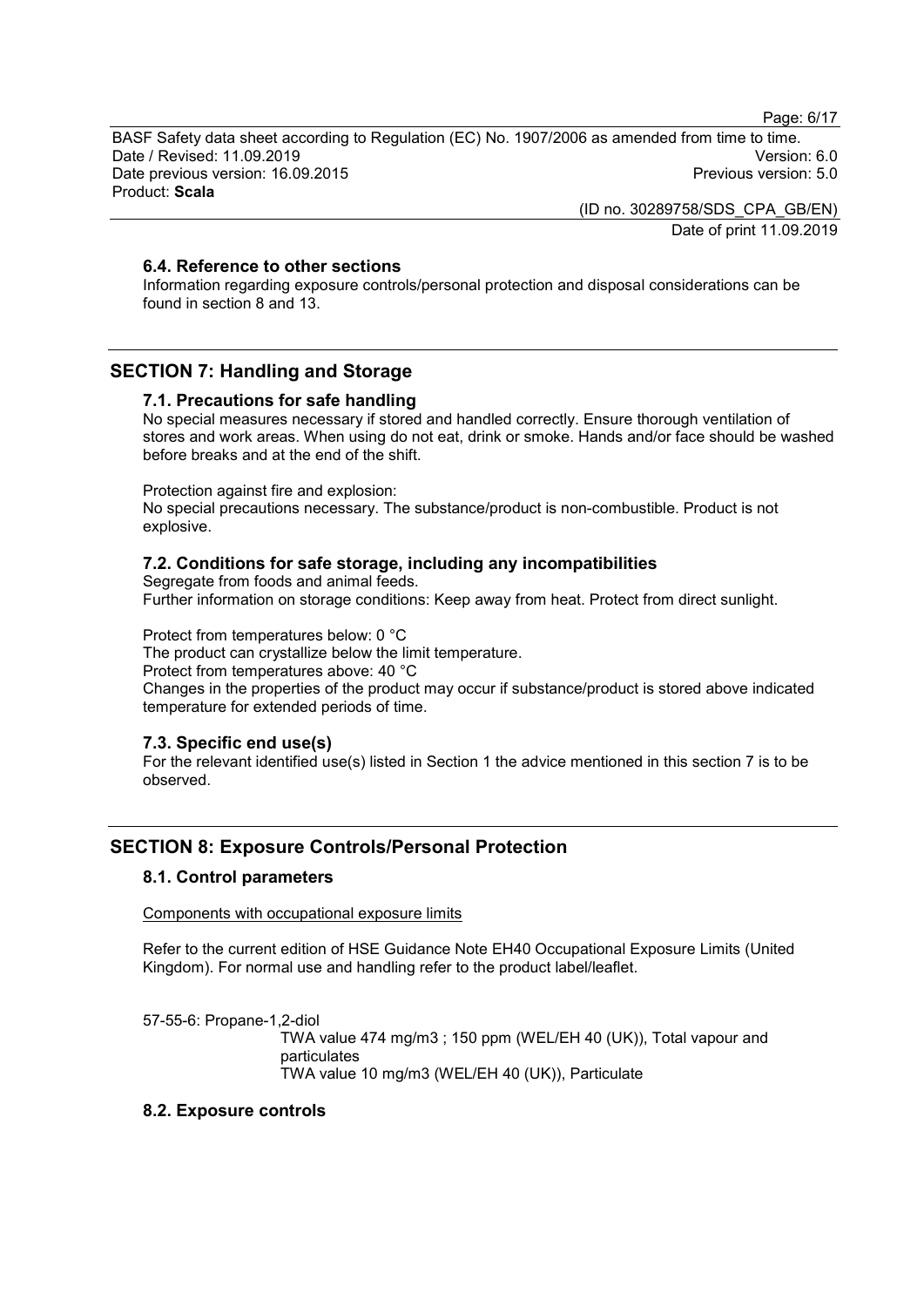Page: 6/17

BASF Safety data sheet according to Regulation (EC) No. 1907/2006 as amended from time to time. Date / Revised: 11.09.2019 Version: 6.0 Date previous version: 16.09.2015 Product: **Scala**

> (ID no. 30289758/SDS\_CPA\_GB/EN) Date of print 11.09.2019

# **6.4. Reference to other sections**

Information regarding exposure controls/personal protection and disposal considerations can be found in section 8 and 13.

# **SECTION 7: Handling and Storage**

# **7.1. Precautions for safe handling**

No special measures necessary if stored and handled correctly. Ensure thorough ventilation of stores and work areas. When using do not eat, drink or smoke. Hands and/or face should be washed before breaks and at the end of the shift.

Protection against fire and explosion:

No special precautions necessary. The substance/product is non-combustible. Product is not explosive.

# **7.2. Conditions for safe storage, including any incompatibilities**

Segregate from foods and animal feeds. Further information on storage conditions: Keep away from heat. Protect from direct sunlight.

Protect from temperatures below: 0 °C

The product can crystallize below the limit temperature.

Protect from temperatures above: 40 °C

Changes in the properties of the product may occur if substance/product is stored above indicated temperature for extended periods of time.

# **7.3. Specific end use(s)**

For the relevant identified use(s) listed in Section 1 the advice mentioned in this section 7 is to be observed.

# **SECTION 8: Exposure Controls/Personal Protection**

# **8.1. Control parameters**

Components with occupational exposure limits

Refer to the current edition of HSE Guidance Note EH40 Occupational Exposure Limits (United Kingdom). For normal use and handling refer to the product label/leaflet.

57-55-6: Propane-1,2-diol

TWA value 474 mg/m3 ; 150 ppm (WEL/EH 40 (UK)), Total vapour and particulates TWA value 10 mg/m3 (WEL/EH 40 (UK)), Particulate

# **8.2. Exposure controls**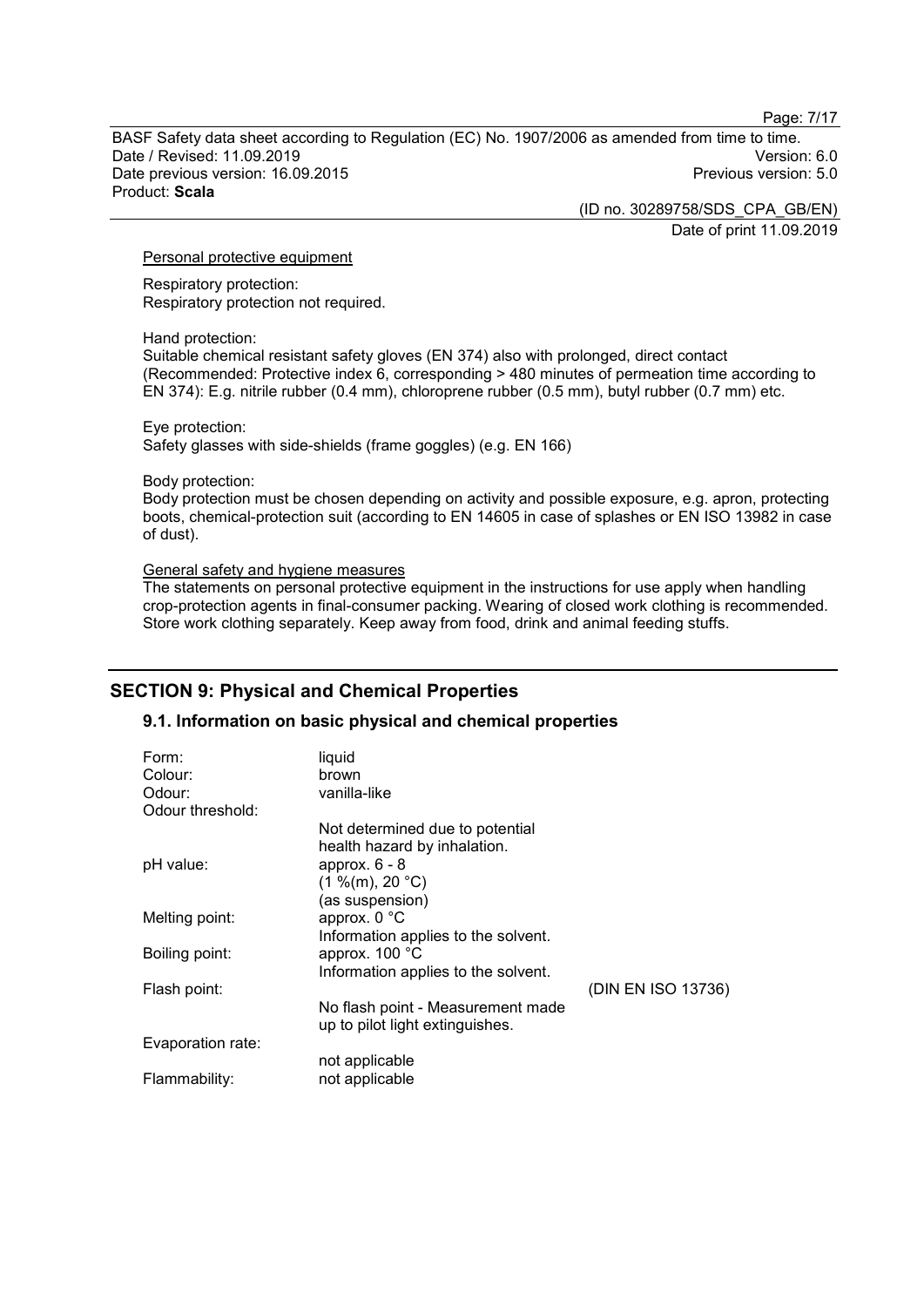Page: 7/17

BASF Safety data sheet according to Regulation (EC) No. 1907/2006 as amended from time to time. Date / Revised: 11.09.2019 Version: 6.0 Date previous version: 16.09.2015 Product: **Scala**

> (ID no. 30289758/SDS\_CPA\_GB/EN) Date of print 11.09.2019

#### Personal protective equipment

Respiratory protection: Respiratory protection not required.

#### Hand protection:

Suitable chemical resistant safety gloves (EN 374) also with prolonged, direct contact (Recommended: Protective index 6, corresponding > 480 minutes of permeation time according to EN 374): E.g. nitrile rubber (0.4 mm), chloroprene rubber (0.5 mm), butyl rubber (0.7 mm) etc.

#### Eye protection:

Safety glasses with side-shields (frame goggles) (e.g. EN 166)

#### Body protection:

Body protection must be chosen depending on activity and possible exposure, e.g. apron, protecting boots, chemical-protection suit (according to EN 14605 in case of splashes or EN ISO 13982 in case of dust).

#### General safety and hygiene measures

The statements on personal protective equipment in the instructions for use apply when handling crop-protection agents in final-consumer packing. Wearing of closed work clothing is recommended. Store work clothing separately. Keep away from food, drink and animal feeding stuffs.

# **SECTION 9: Physical and Chemical Properties**

# **9.1. Information on basic physical and chemical properties**

| Form:<br>Colour:  | liquid<br>brown                     |                    |
|-------------------|-------------------------------------|--------------------|
| Odour:            | vanilla-like                        |                    |
| Odour threshold:  |                                     |                    |
|                   | Not determined due to potential     |                    |
|                   | health hazard by inhalation.        |                    |
| pH value:         | approx. $6 - 8$                     |                    |
|                   | (1 %(m), 20 °C)                     |                    |
|                   | (as suspension)                     |                    |
| Melting point:    | approx. 0 °C                        |                    |
|                   | Information applies to the solvent. |                    |
| Boiling point:    | approx. 100 °C                      |                    |
|                   | Information applies to the solvent. |                    |
| Flash point:      |                                     | (DIN EN ISO 13736) |
|                   | No flash point - Measurement made   |                    |
|                   | up to pilot light extinguishes.     |                    |
| Evaporation rate: |                                     |                    |
|                   | not applicable                      |                    |
| Flammability:     | not applicable                      |                    |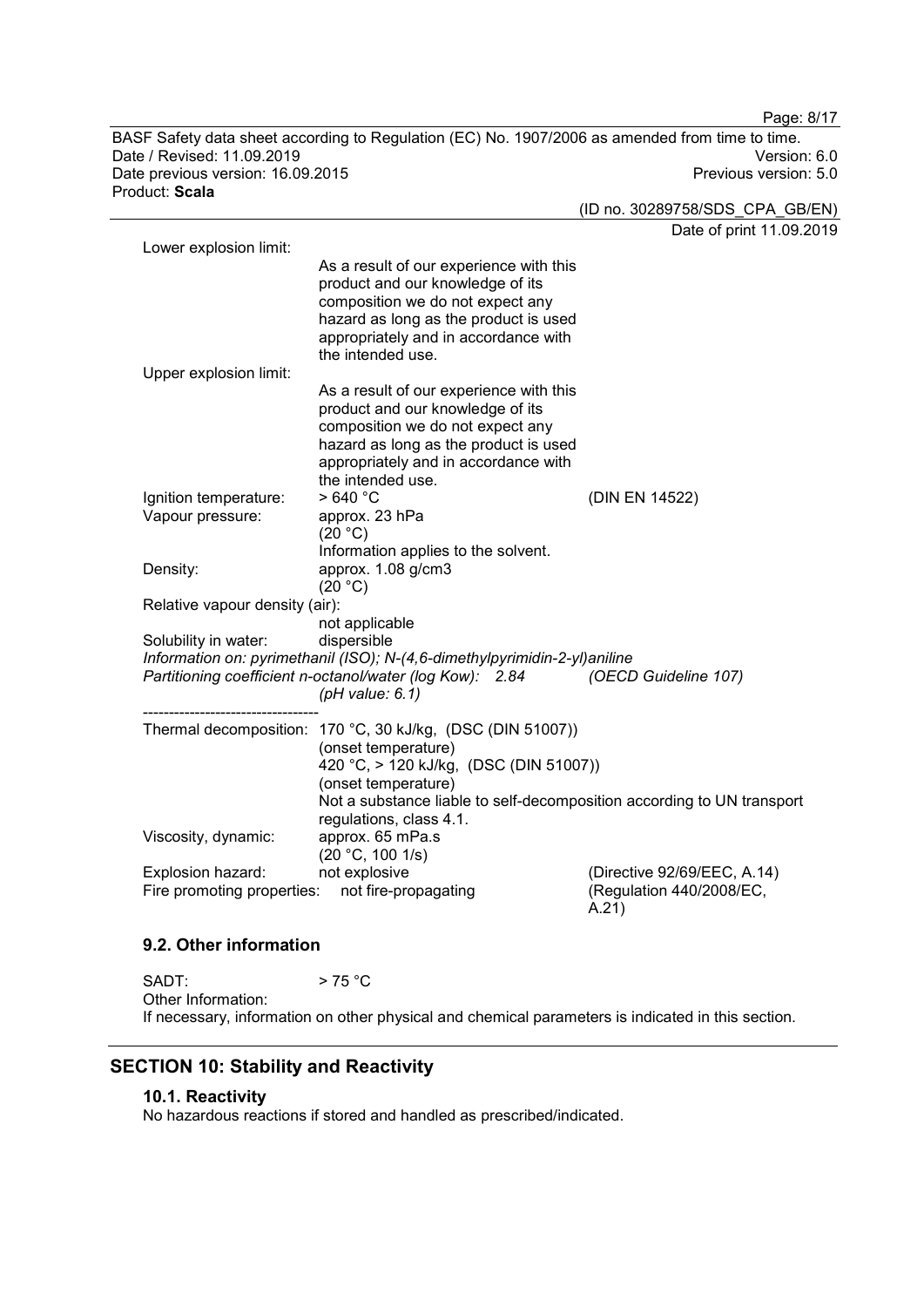BASF Safety data sheet according to Regulation (EC) No. 1907/2006 as amended from time to time. Date / Revised: 11.09.2019 Version: 6.0 Date previous version: 16.09.2015 Product: **Scala**

Page: 8/17

(ID no. 30289758/SDS\_CPA\_GB/EN)

Date of print 11.09.2019 Lower explosion limit: As a result of our experience with this product and our knowledge of its composition we do not expect any hazard as long as the product is used appropriately and in accordance with the intended use. Upper explosion limit: As a result of our experience with this product and our knowledge of its composition we do not expect any hazard as long as the product is used appropriately and in accordance with the intended use.<br> $>640 °C$ Ignition temperature:  $> 640 °C$ <br>Vapour pressure: approx. 23 hPa Vapour pressure:  $(20 °C)$ Information applies to the solvent. Density: approx. 1.08 g/cm3  $(20 °C)$ Relative vapour density (air): not applicable Solubility in water: *Information on: pyrimethanil (ISO); N-(4,6-dimethylpyrimidin-2-yl)aniline Partitioning coefficient n-octanol/water (log Kow): 2.84 (pH value: 6.1) (OECD Guideline 107)* ---------------------------------- Thermal decomposition: 170 °C, 30 kJ/kg, (DSC (DIN 51007)) (onset temperature) 420 °C, > 120 kJ/kg, (DSC (DIN 51007)) (onset temperature) Not a substance liable to self-decomposition according to UN transport regulations, class 4.1.<br>approx. 65 mPa.s Viscosity, dynamic:  $(20 °C, 100 1/s)$ <br>not explosive Explosion hazard: not explosive (Directive 92/69/EEC, A.14)<br>Fire promoting properties: not fire-propagating (Regulation 440/2008/EC, Fire promoting properties: A.21)

#### **9.2. Other information**

 $SADT:$  > 75 °C Other Information: If necessary, information on other physical and chemical parameters is indicated in this section.

# **SECTION 10: Stability and Reactivity**

# **10.1. Reactivity**

No hazardous reactions if stored and handled as prescribed/indicated.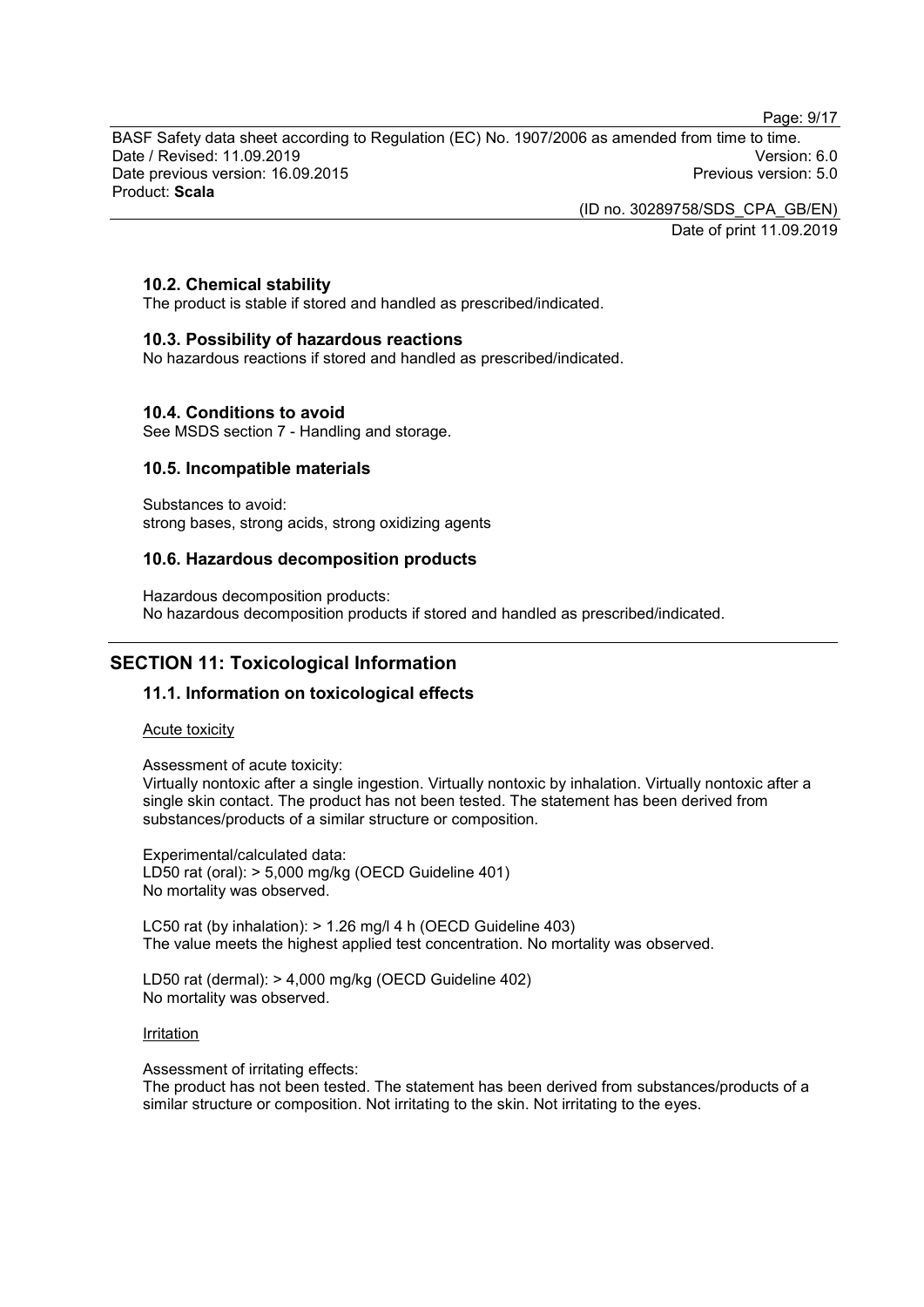Page: 9/17

BASF Safety data sheet according to Regulation (EC) No. 1907/2006 as amended from time to time. Date / Revised: 11.09.2019 Version: 6.0 Date previous version: 16.09.2015 Product: **Scala**

> (ID no. 30289758/SDS\_CPA\_GB/EN) Date of print 11.09.2019

### **10.2. Chemical stability**

The product is stable if stored and handled as prescribed/indicated.

#### **10.3. Possibility of hazardous reactions**

No hazardous reactions if stored and handled as prescribed/indicated.

#### **10.4. Conditions to avoid**

See MSDS section 7 - Handling and storage.

#### **10.5. Incompatible materials**

Substances to avoid: strong bases, strong acids, strong oxidizing agents

#### **10.6. Hazardous decomposition products**

Hazardous decomposition products: No hazardous decomposition products if stored and handled as prescribed/indicated.

# **SECTION 11: Toxicological Information**

### **11.1. Information on toxicological effects**

#### Acute toxicity

Assessment of acute toxicity:

Virtually nontoxic after a single ingestion. Virtually nontoxic by inhalation. Virtually nontoxic after a single skin contact. The product has not been tested. The statement has been derived from substances/products of a similar structure or composition.

Experimental/calculated data: LD50 rat (oral): > 5,000 mg/kg (OECD Guideline 401) No mortality was observed.

LC50 rat (by inhalation): > 1.26 mg/l 4 h (OECD Guideline 403) The value meets the highest applied test concentration. No mortality was observed.

LD50 rat (dermal): > 4,000 mg/kg (OECD Guideline 402) No mortality was observed.

#### Irritation

Assessment of irritating effects:

The product has not been tested. The statement has been derived from substances/products of a similar structure or composition. Not irritating to the skin. Not irritating to the eyes.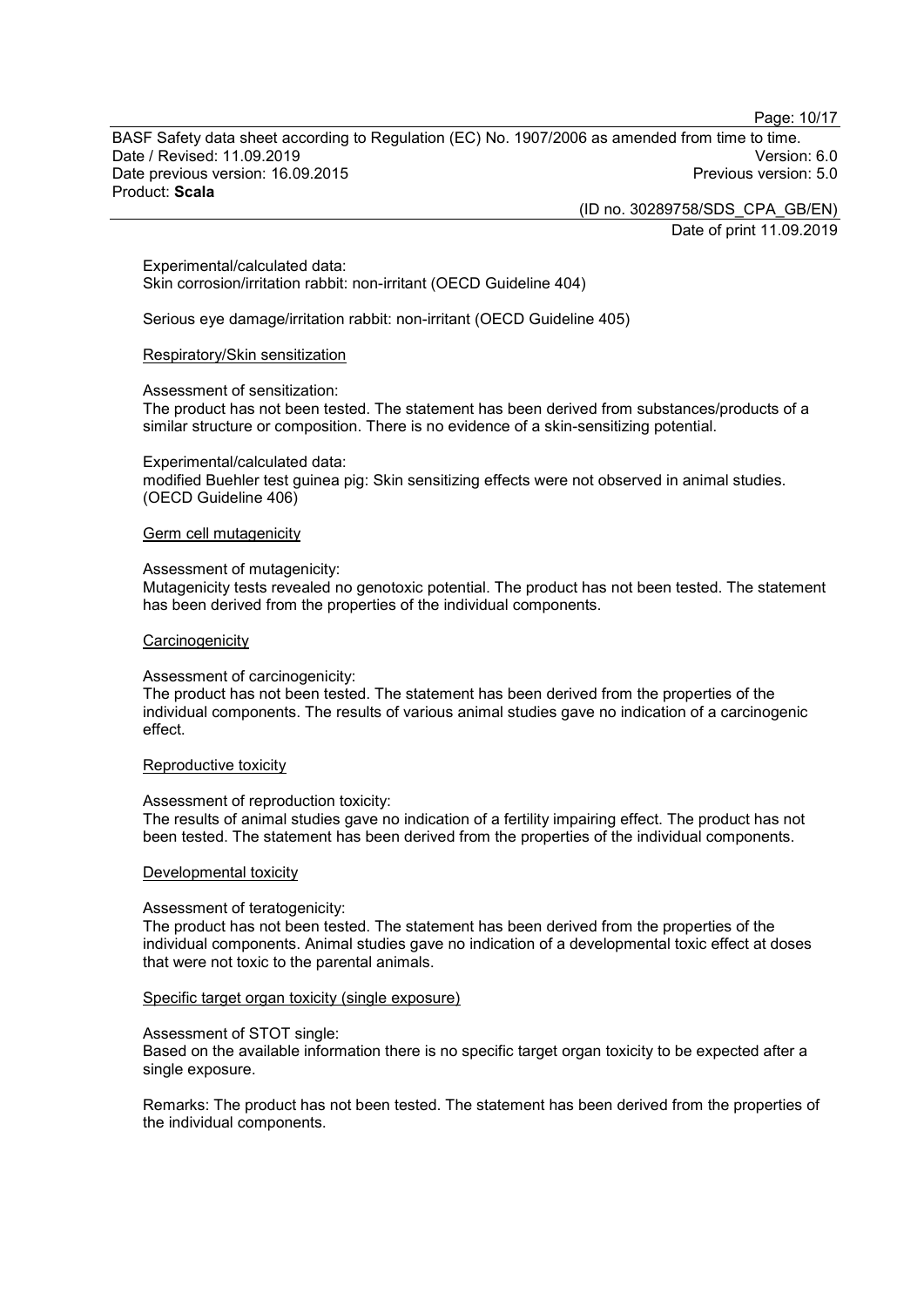Page: 10/17

BASF Safety data sheet according to Regulation (EC) No. 1907/2006 as amended from time to time. Date / Revised: 11.09.2019 Version: 6.0 Date previous version: 16.09.2015 Product: **Scala**

> (ID no. 30289758/SDS\_CPA\_GB/EN) Date of print 11.09.2019

Experimental/calculated data: Skin corrosion/irritation rabbit: non-irritant (OECD Guideline 404)

Serious eye damage/irritation rabbit: non-irritant (OECD Guideline 405)

#### Respiratory/Skin sensitization

#### Assessment of sensitization:

The product has not been tested. The statement has been derived from substances/products of a similar structure or composition. There is no evidence of a skin-sensitizing potential.

#### Experimental/calculated data:

modified Buehler test guinea pig: Skin sensitizing effects were not observed in animal studies. (OECD Guideline 406)

#### Germ cell mutagenicity

#### Assessment of mutagenicity:

Mutagenicity tests revealed no genotoxic potential. The product has not been tested. The statement has been derived from the properties of the individual components.

#### **Carcinogenicity**

#### Assessment of carcinogenicity:

The product has not been tested. The statement has been derived from the properties of the individual components. The results of various animal studies gave no indication of a carcinogenic effect.

#### Reproductive toxicity

#### Assessment of reproduction toxicity:

The results of animal studies gave no indication of a fertility impairing effect. The product has not been tested. The statement has been derived from the properties of the individual components.

#### Developmental toxicity

#### Assessment of teratogenicity:

The product has not been tested. The statement has been derived from the properties of the individual components. Animal studies gave no indication of a developmental toxic effect at doses that were not toxic to the parental animals.

#### Specific target organ toxicity (single exposure)

#### Assessment of STOT single:

Based on the available information there is no specific target organ toxicity to be expected after a single exposure.

Remarks: The product has not been tested. The statement has been derived from the properties of the individual components.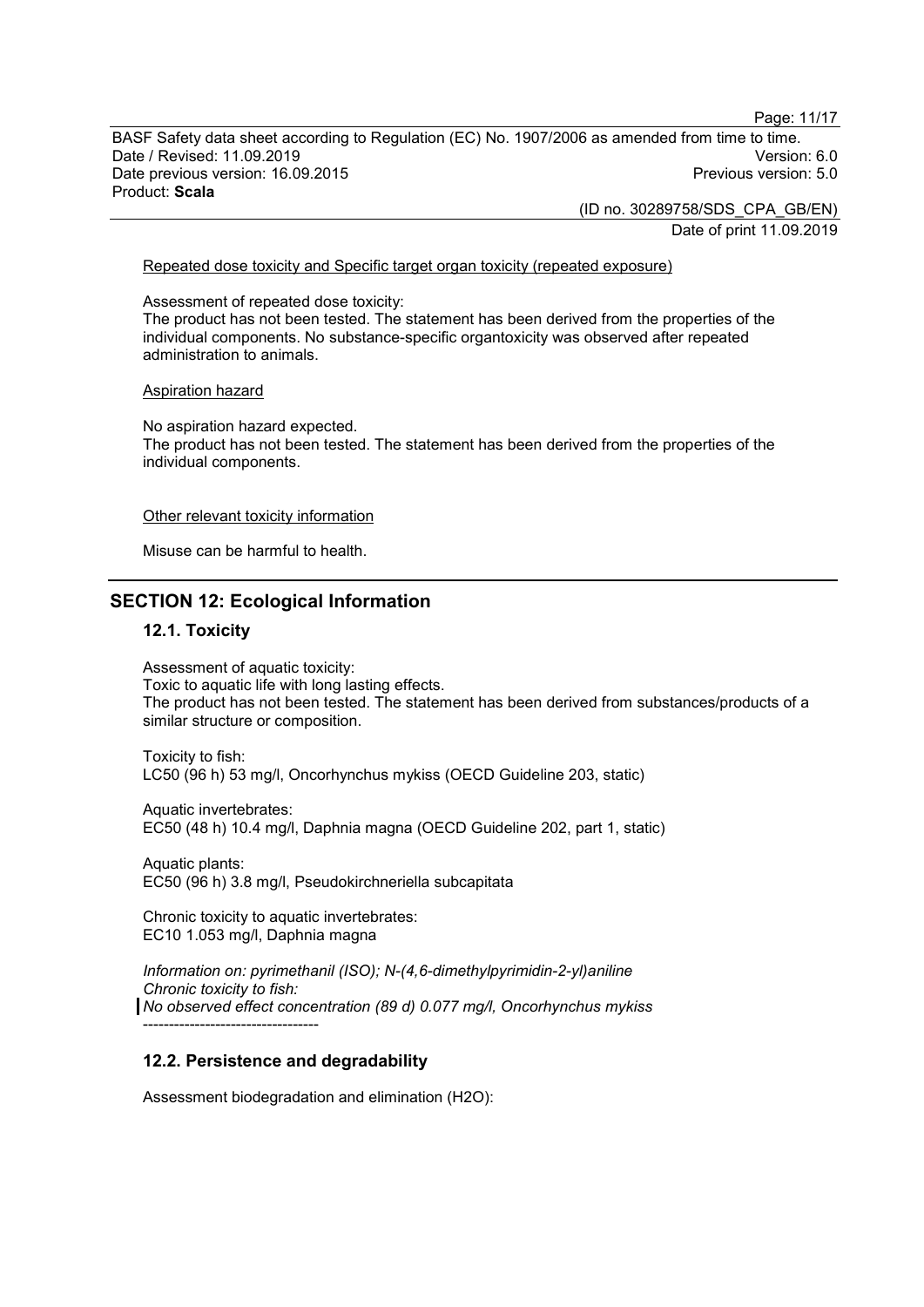Page: 11/17

BASF Safety data sheet according to Regulation (EC) No. 1907/2006 as amended from time to time. Date / Revised: 11.09.2019 Version: 6.0 Date previous version: 16.09.2015 Product: **Scala**

> (ID no. 30289758/SDS\_CPA\_GB/EN) Date of print 11.09.2019

#### Repeated dose toxicity and Specific target organ toxicity (repeated exposure)

Assessment of repeated dose toxicity: The product has not been tested. The statement has been derived from the properties of the individual components. No substance-specific organtoxicity was observed after repeated administration to animals.

#### Aspiration hazard

No aspiration hazard expected. The product has not been tested. The statement has been derived from the properties of the individual components.

#### Other relevant toxicity information

Misuse can be harmful to health.

### **SECTION 12: Ecological Information**

#### **12.1. Toxicity**

Assessment of aquatic toxicity: Toxic to aquatic life with long lasting effects. The product has not been tested. The statement has been derived from substances/products of a similar structure or composition.

Toxicity to fish: LC50 (96 h) 53 mg/l, Oncorhynchus mykiss (OECD Guideline 203, static)

Aquatic invertebrates: EC50 (48 h) 10.4 mg/l, Daphnia magna (OECD Guideline 202, part 1, static)

Aquatic plants: EC50 (96 h) 3.8 mg/l, Pseudokirchneriella subcapitata

Chronic toxicity to aquatic invertebrates: EC10 1.053 mg/l, Daphnia magna

*Information on: pyrimethanil (ISO); N-(4,6-dimethylpyrimidin-2-yl)aniline Chronic toxicity to fish: No observed effect concentration (89 d) 0.077 mg/l, Oncorhynchus mykiss* ----------------------------------

#### **12.2. Persistence and degradability**

Assessment biodegradation and elimination (H2O):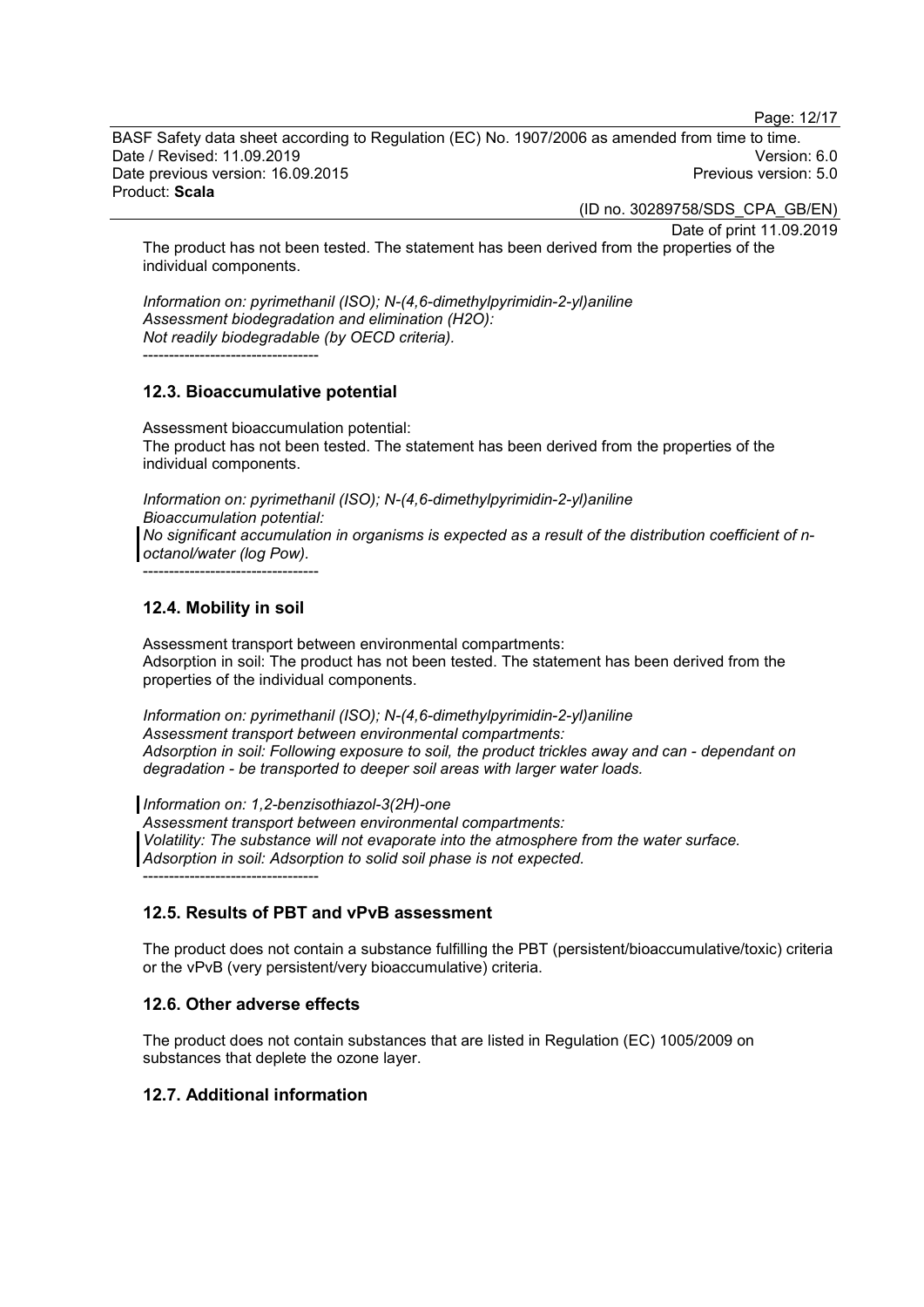Page: 12/17

BASF Safety data sheet according to Regulation (EC) No. 1907/2006 as amended from time to time. Date / Revised: 11.09.2019 Version: 6.0 Date previous version: 16.09.2015 Product: **Scala**

(ID no. 30289758/SDS\_CPA\_GB/EN)

Date of print 11.09.2019

The product has not been tested. The statement has been derived from the properties of the individual components.

*Information on: pyrimethanil (ISO); N-(4,6-dimethylpyrimidin-2-yl)aniline Assessment biodegradation and elimination (H2O): Not readily biodegradable (by OECD criteria).* ----------------------------------

### **12.3. Bioaccumulative potential**

Assessment bioaccumulation potential: The product has not been tested. The statement has been derived from the properties of the individual components.

*Information on: pyrimethanil (ISO); N-(4,6-dimethylpyrimidin-2-yl)aniline Bioaccumulation potential: No significant accumulation in organisms is expected as a result of the distribution coefficient of noctanol/water (log Pow).*

----------------------------------

# **12.4. Mobility in soil**

Assessment transport between environmental compartments: Adsorption in soil: The product has not been tested. The statement has been derived from the properties of the individual components.

*Information on: pyrimethanil (ISO); N-(4,6-dimethylpyrimidin-2-yl)aniline Assessment transport between environmental compartments: Adsorption in soil: Following exposure to soil, the product trickles away and can - dependant on degradation - be transported to deeper soil areas with larger water loads.*

*Information on: 1,2-benzisothiazol-3(2H)-one*

*Assessment transport between environmental compartments: Volatility: The substance will not evaporate into the atmosphere from the water surface. Adsorption in soil: Adsorption to solid soil phase is not expected.* ----------------------------------

# **12.5. Results of PBT and vPvB assessment**

The product does not contain a substance fulfilling the PBT (persistent/bioaccumulative/toxic) criteria or the vPvB (very persistent/very bioaccumulative) criteria.

# **12.6. Other adverse effects**

The product does not contain substances that are listed in Regulation (EC) 1005/2009 on substances that deplete the ozone layer.

# **12.7. Additional information**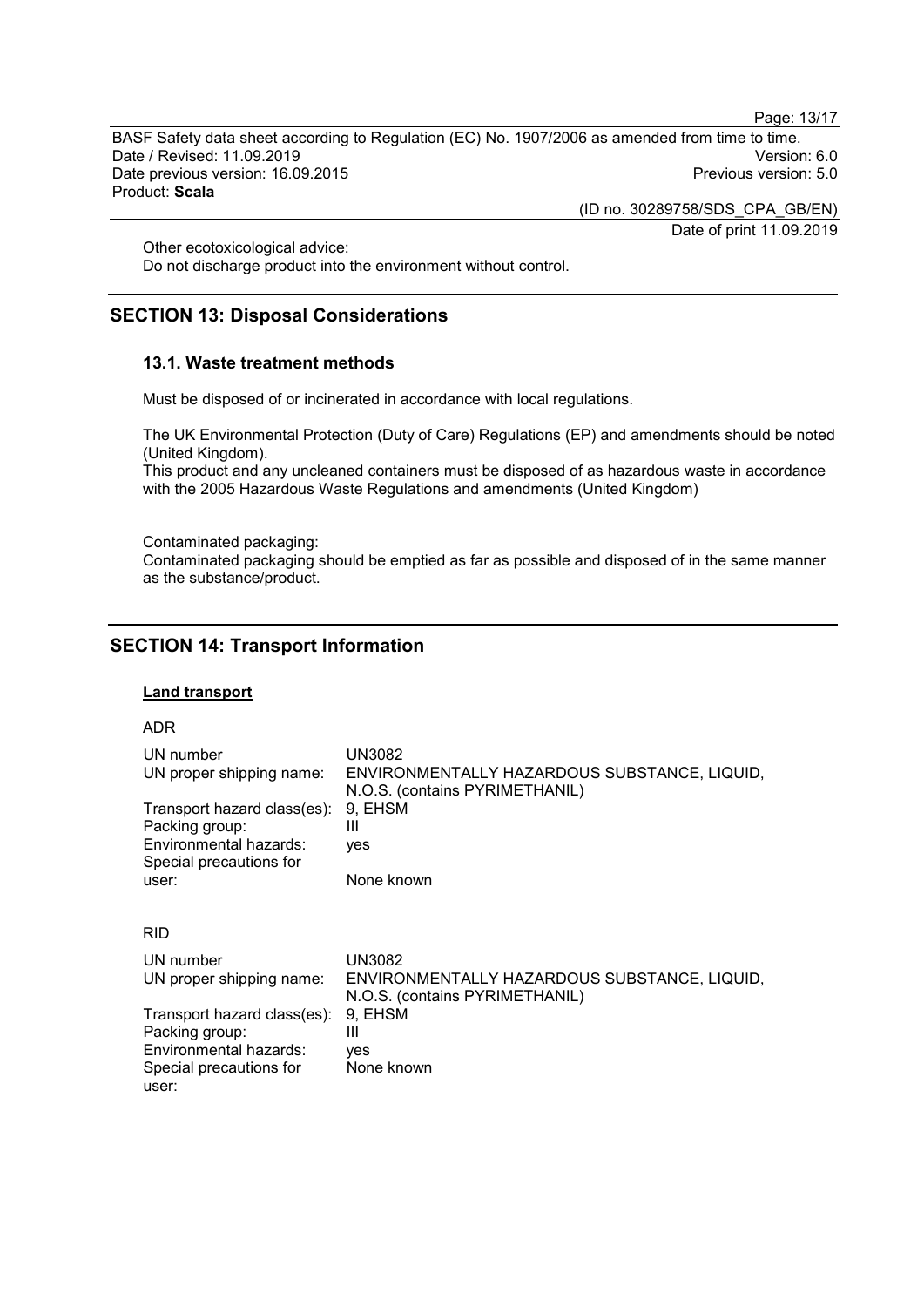Page: 13/17

BASF Safety data sheet according to Regulation (EC) No. 1907/2006 as amended from time to time. Date / Revised: 11.09.2019<br>Date previous version: 16.09.2015 Version: 5.0 Date previous version: 16.09.2015 Product: **Scala**

(ID no. 30289758/SDS\_CPA\_GB/EN)

Date of print 11.09.2019

Other ecotoxicological advice:

Do not discharge product into the environment without control.

# **SECTION 13: Disposal Considerations**

# **13.1. Waste treatment methods**

Must be disposed of or incinerated in accordance with local regulations.

The UK Environmental Protection (Duty of Care) Regulations (EP) and amendments should be noted (United Kingdom).

This product and any uncleaned containers must be disposed of as hazardous waste in accordance with the 2005 Hazardous Waste Regulations and amendments (United Kingdom)

Contaminated packaging:

Contaminated packaging should be emptied as far as possible and disposed of in the same manner as the substance/product.

# **SECTION 14: Transport Information**

Packing group: III Environmental hazards: yes

Special precautions for

user:

# **Land transport**

#### ADR

| UN number<br>UN proper shipping name:<br>Transport hazard class(es):<br>Packing group:<br>Environmental hazards:<br>Special precautions for<br>user: | UN3082<br>ENVIRONMENTALLY HAZARDOUS SUBSTANCE, LIQUID.<br>N.O.S. (contains PYRIMETHANIL)<br>9, EHSM<br>Ш<br>yes<br>None known |
|------------------------------------------------------------------------------------------------------------------------------------------------------|-------------------------------------------------------------------------------------------------------------------------------|
| <b>RID</b>                                                                                                                                           |                                                                                                                               |
| UN number<br>UN proper shipping name:                                                                                                                | UN3082<br>ENVIRONMENTALLY HAZARDOUS SUBSTANCE, LIQUID,<br>N.O.S. (contains PYRIMETHANIL)                                      |
| Transport hazard class(es):                                                                                                                          | 9. EHSM                                                                                                                       |

None known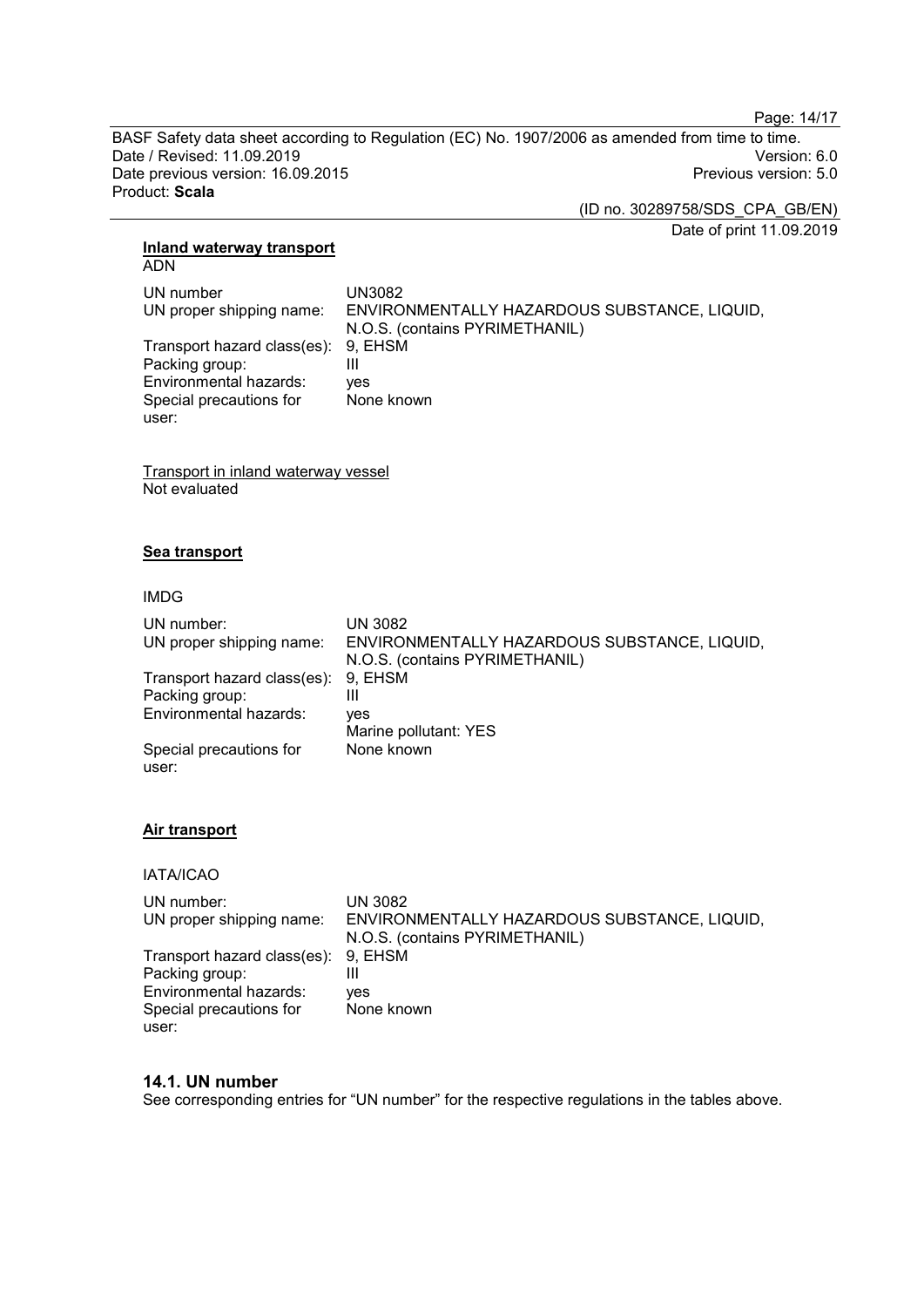Page: 14/17

BASF Safety data sheet according to Regulation (EC) No. 1907/2006 as amended from time to time. Date / Revised: 11.09.2019<br>Date previous version: 16.09.2015 Date previous version: 16.09.2015 Product: **Scala**

(ID no. 30289758/SDS\_CPA\_GB/EN)

Date of print 11.09.2019

#### **Inland waterway transport** ADN

| UN number<br>UN proper shipping name:                 | UN3082<br>ENVIRONMENTALLY HAZARDOUS SUBSTANCE, LIQUID,<br>N.O.S. (contains PYRIMETHANIL) |
|-------------------------------------------------------|------------------------------------------------------------------------------------------|
| Transport hazard class(es): 9, EHSM<br>Packing group: |                                                                                          |
| Environmental hazards:                                | ves                                                                                      |
| Special precautions for<br>user:                      | None known                                                                               |

Transport in inland waterway vessel Not evaluated

# **Sea transport**

### IMDG

| UN number:                          | UN 3082                                      |
|-------------------------------------|----------------------------------------------|
| UN proper shipping name:            | ENVIRONMENTALLY HAZARDOUS SUBSTANCE, LIQUID, |
|                                     | N.O.S. (contains PYRIMETHANIL)               |
| Transport hazard class(es): 9, EHSM |                                              |
| Packing group:                      | Ш                                            |
| Environmental hazards:              | ves                                          |
|                                     | Marine pollutant: YES                        |
| Special precautions for             | None known                                   |
| user:                               |                                              |

# **Air transport**

IATA/ICAO

| UN number:                          | UN 3082                                      |
|-------------------------------------|----------------------------------------------|
| UN proper shipping name:            | ENVIRONMENTALLY HAZARDOUS SUBSTANCE, LIQUID, |
|                                     | N.O.S. (contains PYRIMETHANIL)               |
| Transport hazard class(es): 9, EHSM |                                              |
| Packing group:                      |                                              |
| Environmental hazards:              | ves                                          |
| Special precautions for             | None known                                   |
| user:                               |                                              |

# **14.1. UN number**

See corresponding entries for "UN number" for the respective regulations in the tables above.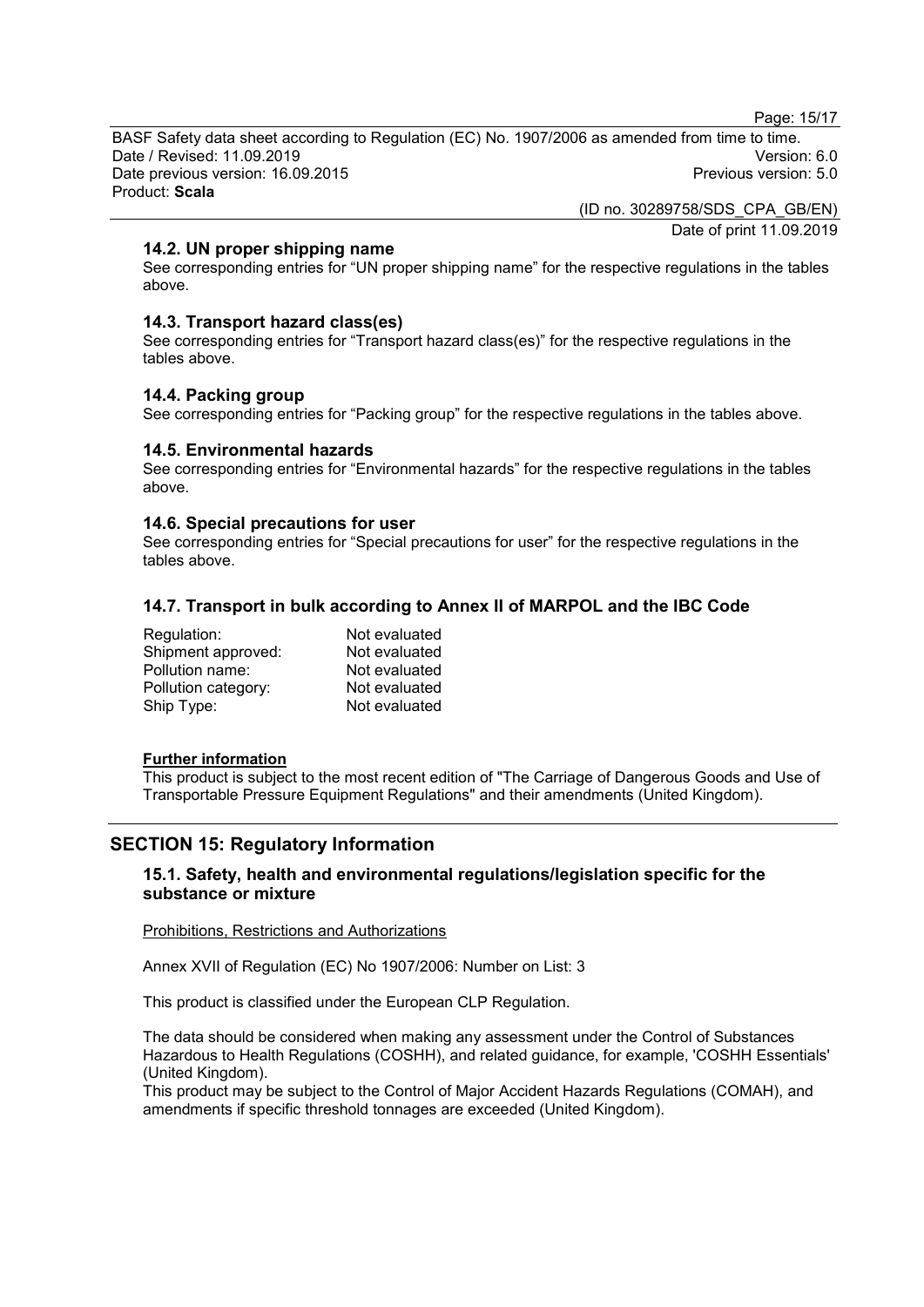Page: 15/17

BASF Safety data sheet according to Regulation (EC) No. 1907/2006 as amended from time to time. Date / Revised: 11.09.2019 Version: 6.0 Date previous version: 16.09.2015 Product: **Scala**

> (ID no. 30289758/SDS\_CPA\_GB/EN) Date of print 11.09.2019

# **14.2. UN proper shipping name**

See corresponding entries for "UN proper shipping name" for the respective regulations in the tables above.

# **14.3. Transport hazard class(es)**

See corresponding entries for "Transport hazard class(es)" for the respective regulations in the tables above.

# **14.4. Packing group**

See corresponding entries for "Packing group" for the respective regulations in the tables above.

# **14.5. Environmental hazards**

See corresponding entries for "Environmental hazards" for the respective regulations in the tables above.

# **14.6. Special precautions for user**

See corresponding entries for "Special precautions for user" for the respective regulations in the tables above.

# **14.7. Transport in bulk according to Annex II of MARPOL and the IBC Code**

| Regulation:         | Not evaluated |
|---------------------|---------------|
| Shipment approved:  | Not evaluated |
| Pollution name:     | Not evaluated |
| Pollution category: | Not evaluated |
| Ship Type:          | Not evaluated |

### **Further information**

This product is subject to the most recent edition of "The Carriage of Dangerous Goods and Use of Transportable Pressure Equipment Regulations" and their amendments (United Kingdom).

# **SECTION 15: Regulatory Information**

# **15.1. Safety, health and environmental regulations/legislation specific for the substance or mixture**

Prohibitions, Restrictions and Authorizations

Annex XVII of Regulation (EC) No 1907/2006: Number on List: 3

This product is classified under the European CLP Regulation.

The data should be considered when making any assessment under the Control of Substances Hazardous to Health Regulations (COSHH), and related guidance, for example, 'COSHH Essentials' (United Kingdom).

This product may be subject to the Control of Major Accident Hazards Regulations (COMAH), and amendments if specific threshold tonnages are exceeded (United Kingdom).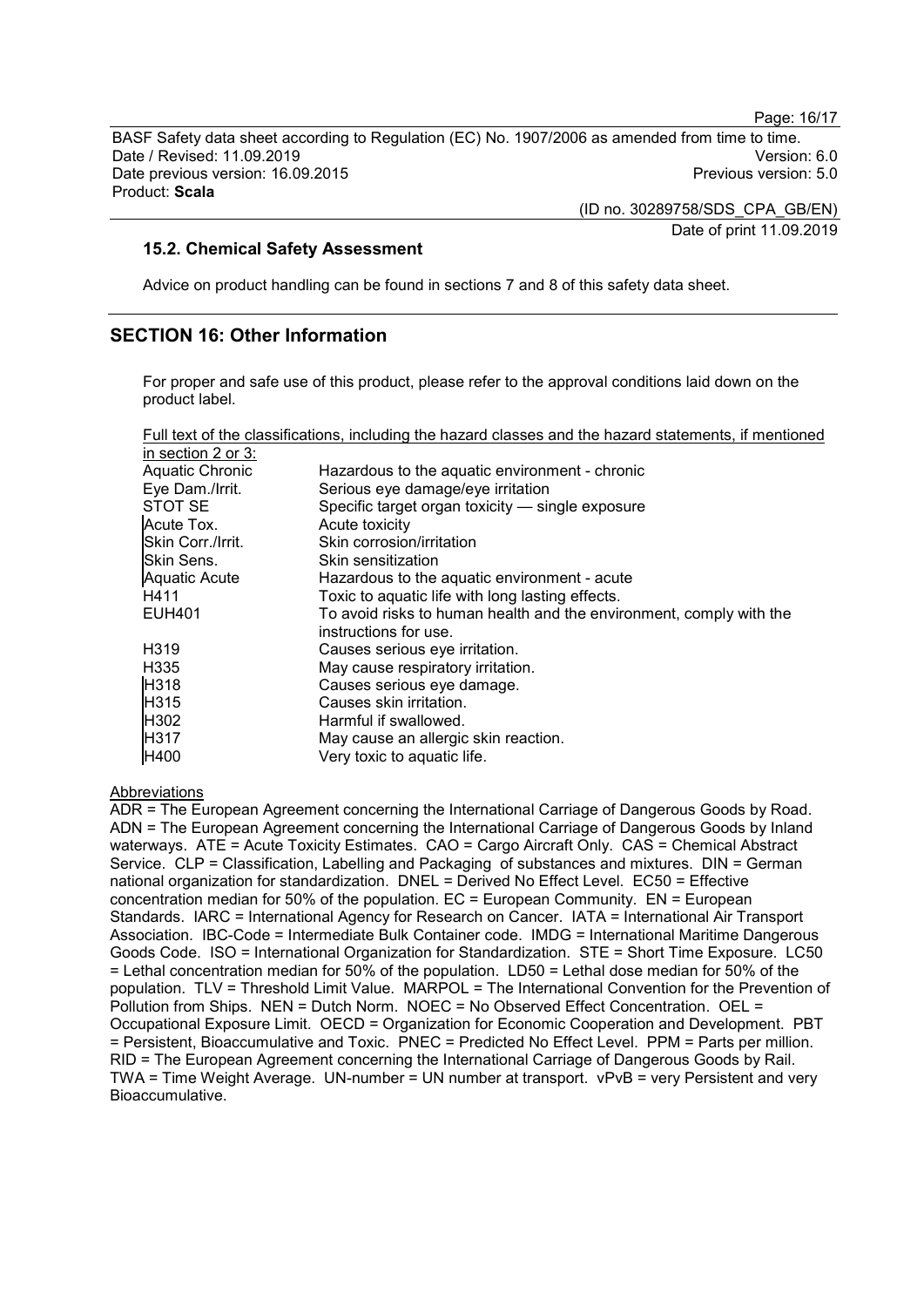Page: 16/17

BASF Safety data sheet according to Regulation (EC) No. 1907/2006 as amended from time to time. Date / Revised: 11.09.2019 Version: 6.0 Date previous version: 16.09.2015 Product: **Scala**

> (ID no. 30289758/SDS\_CPA\_GB/EN) Date of print 11.09.2019

# **15.2. Chemical Safety Assessment**

Advice on product handling can be found in sections 7 and 8 of this safety data sheet.

# **SECTION 16: Other Information**

For proper and safe use of this product, please refer to the approval conditions laid down on the product label.

| Full text of the classifications, including the hazard classes and the hazard statements, if mentioned |  |  |  |  |
|--------------------------------------------------------------------------------------------------------|--|--|--|--|
| in section 2 or 3:                                                                                     |  |  |  |  |

| Aquatic Chronic   | Hazardous to the aquatic environment - chronic                      |
|-------------------|---------------------------------------------------------------------|
| Eye Dam./Irrit.   | Serious eye damage/eye irritation                                   |
| STOT SE           | Specific target organ toxicity - single exposure                    |
| Acute Tox.        | Acute toxicity                                                      |
| Skin Corr./Irrit. | Skin corrosion/irritation                                           |
| Skin Sens.        | Skin sensitization                                                  |
| Aquatic Acute     | Hazardous to the aquatic environment - acute                        |
| H411              | Toxic to aquatic life with long lasting effects.                    |
| EUH401            | To avoid risks to human health and the environment, comply with the |
|                   | instructions for use.                                               |
| H319              | Causes serious eye irritation.                                      |
| H335              | May cause respiratory irritation.                                   |
| H318              | Causes serious eye damage.                                          |
| H315              | Causes skin irritation.                                             |
| H302              | Harmful if swallowed.                                               |
| H317              | May cause an allergic skin reaction.                                |
| H400              | Very toxic to aquatic life.                                         |

#### Abbreviations

ADR = The European Agreement concerning the International Carriage of Dangerous Goods by Road. ADN = The European Agreement concerning the International Carriage of Dangerous Goods by Inland waterways. ATE = Acute Toxicity Estimates. CAO = Cargo Aircraft Only. CAS = Chemical Abstract Service. CLP = Classification, Labelling and Packaging of substances and mixtures. DIN = German national organization for standardization. DNEL = Derived No Effect Level. EC50 = Effective concentration median for 50% of the population. EC = European Community. EN = European Standards. IARC = International Agency for Research on Cancer. IATA = International Air Transport Association. IBC-Code = Intermediate Bulk Container code. IMDG = International Maritime Dangerous Goods Code. ISO = International Organization for Standardization. STE = Short Time Exposure. LC50 = Lethal concentration median for 50% of the population. LD50 = Lethal dose median for 50% of the population. TLV = Threshold Limit Value. MARPOL = The International Convention for the Prevention of Pollution from Ships. NEN = Dutch Norm. NOEC = No Observed Effect Concentration. OEL = Occupational Exposure Limit. OECD = Organization for Economic Cooperation and Development. PBT = Persistent, Bioaccumulative and Toxic. PNEC = Predicted No Effect Level. PPM = Parts per million. RID = The European Agreement concerning the International Carriage of Dangerous Goods by Rail. TWA = Time Weight Average. UN-number = UN number at transport. vPvB = very Persistent and very Bioaccumulative.